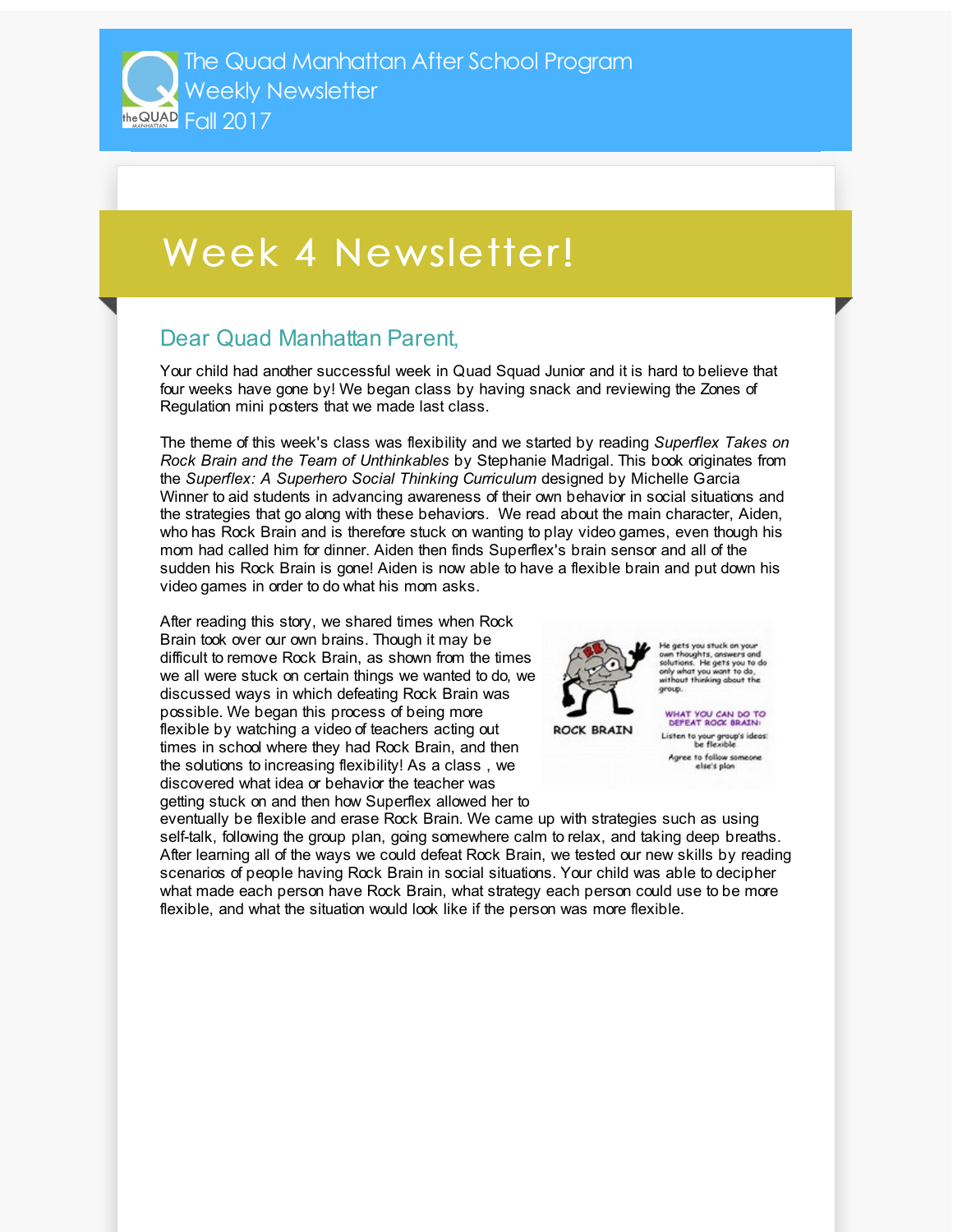## Week 4 Newsletter!

## Dear Quad Manhattan Parent,

Your child had another successful week in Quad Squad Junior and it is hard to believe that four weeks have gone by! We began class by having snack and reviewing the Zones of Regulation mini posters that we made last class.

The theme of this week's class was flexibility and we started by reading *Superflex Takes on Rock Brain and the Team of Unthinkables* by Stephanie Madrigal. This book originates from the *Superflex: A Superhero Social Thinking Curriculum* designed by Michelle Garcia Winner to aid students in advancing awareness of their own behavior in social situations and the strategies that go along with these behaviors. We read about the main character, Aiden, who has Rock Brain and is therefore stuck on wanting to play video games, even though his mom had called him for dinner. Aiden then finds Superflex's brain sensor and all of the sudden his Rock Brain is gone! Aiden is now able to have a flexible brain and put down his video games in order to do what his mom asks.

After reading this story, we shared times when Rock Brain took over our own brains. Though it may be difficult to remove Rock Brain, as shown from the times we all were stuck on certain things we wanted to do, we discussed ways in which defeating Rock Brain was possible. We began this process of being more flexible by watching a video of teachers acting out times in school where they had Rock Brain, and then the solutions to increasing flexibility! As a class , we discovered what idea or behavior the teacher was getting stuck on and then how Superflex allowed her to



le gets you stuck on yo own thoughts, answers and<br>solutions. He gets you to do<br>only what you want to do,

**ROCK BRAIN** 

WHAT YOU CAN DO TO<br>DEFEAT ROOK BRAIN: Listen to your group's ideas:<br>be flexible Agree to follow so else's plor

eventually be flexible and erase Rock Brain. We came up with strategies such as using self-talk, following the group plan, going somewhere calm to relax, and taking deep breaths. After learning all of the ways we could defeat Rock Brain, we tested our new skills by reading scenarios of people having Rock Brain in social situations. Your child was able to decipher what made each person have Rock Brain, what strategy each person could use to be more flexible, and what the situation would look like if the person was more flexible.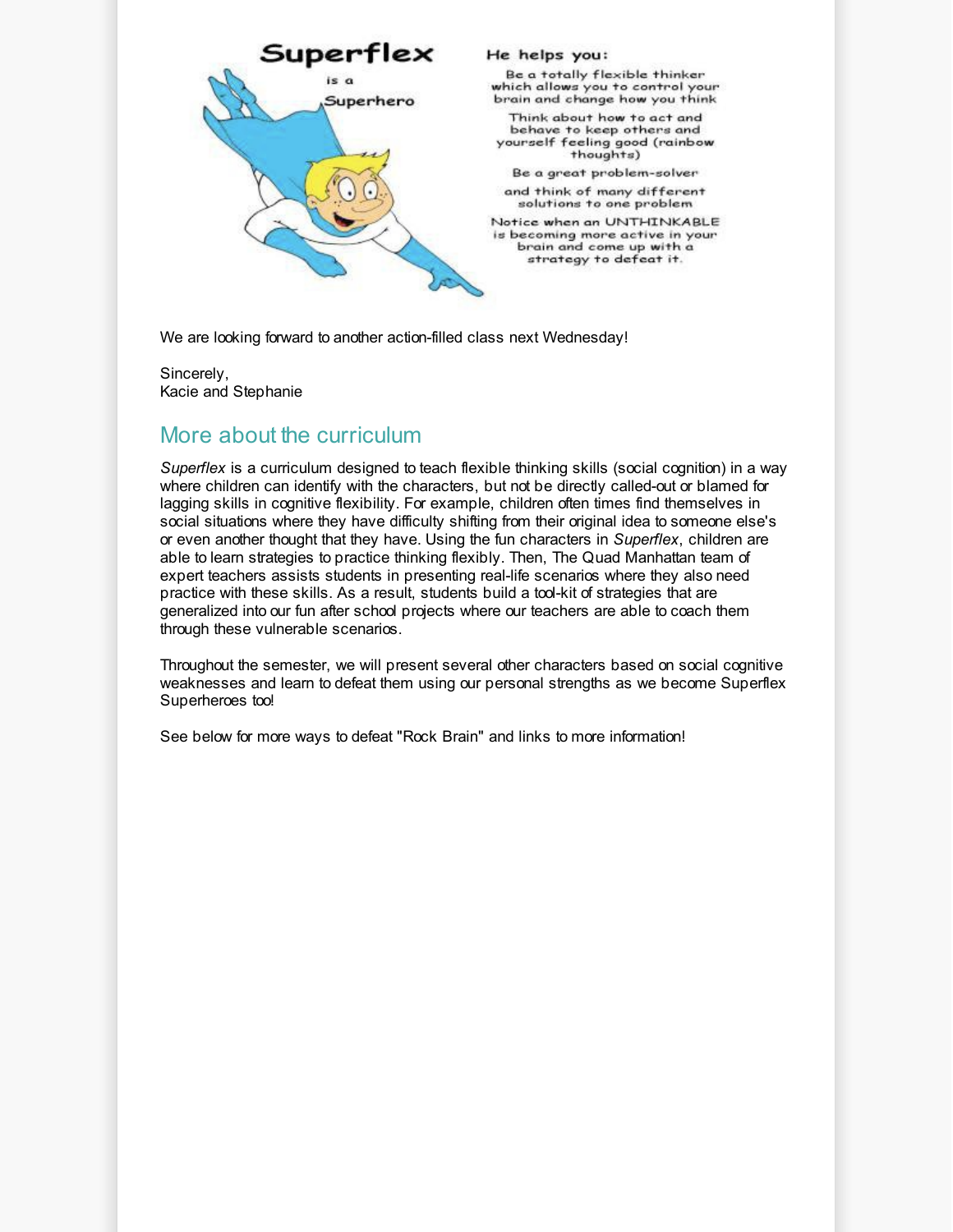

We are looking forward to another action-filled class next Wednesday!

Sincerely, Kacie and Stephanie

## More about the curriculum

*Superflex* is a curriculum designed to teach flexible thinking skills (social cognition) in a way where children can identify with the characters, but not be directly called-out or blamed for lagging skills in cognitive flexibility. For example, children often times find themselves in social situations where they have difficulty shifting from their original idea to someone else's or even another thought that they have. Using the fun characters in *Superflex*, children are able to learn strategies to practice thinking flexibly. Then, The Quad Manhattan team of expert teachers assists students in presenting real-life scenarios where they also need practice with these skills. As a result, students build a tool-kit of strategies that are generalized into our fun after school projects where our teachers are able to coach them through these vulnerable scenarios.

Throughout the semester, we will present several other characters based on social cognitive weaknesses and learn to defeat them using our personal strengths as we become Superflex Superheroes too!

See below for more ways to defeat "Rock Brain" and links to more information!